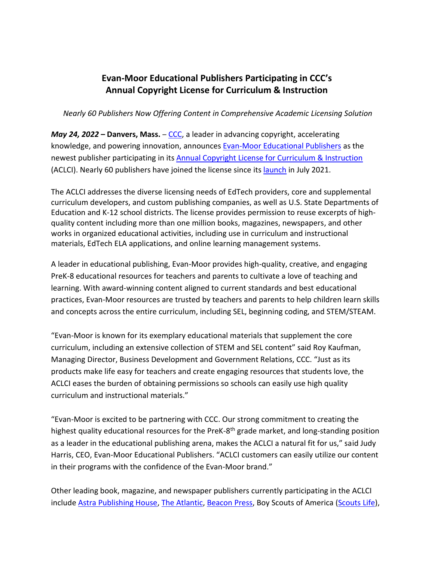## **Evan-Moor Educational Publishers Participating in CCC's Annual Copyright License for Curriculum & Instruction**

*Nearly 60 Publishers Now Offering Content in Comprehensive Academic Licensing Solution*

*May 24, 2022* – Danvers, Mass. – [CCC,](http://www.copyright.com/) a leader in advancing copyright, accelerating knowledge, and powering innovation, announces Evan-Moor [Educational Publishers](http://www.evan-moor.com/) as the newest publisher participating in its [Annual Copyright License for Curriculum & Instruction](https://www.copyright.com/annual-copyright-license-for-curriculum-instruction/) (ACLCI). Nearly 60 publishers have joined the license since its [launch](https://www.copyright.com/copyright-clearance-center-launches-annual-copyright-license-for-curriculum-instruction/) in July 2021.

The ACLCI addresses the diverse licensing needs of EdTech providers, core and supplemental curriculum developers, and custom publishing companies, as well as U.S. State Departments of Education and K-12 school districts. The license provides permission to reuse excerpts of highquality content including more than one million books, magazines, newspapers, and other works in organized educational activities, including use in curriculum and instructional materials, EdTech ELA applications, and online learning management systems.

A leader in educational publishing, Evan-Moor provides high-quality, creative, and engaging PreK-8 educational resources for teachers and parents to cultivate a love of teaching and learning. With award-winning content aligned to current standards and best educational practices, Evan-Moor resources are trusted by teachers and parents to help children learn skills and concepts across the entire curriculum, including SEL, beginning coding, and STEM/STEAM.

"Evan-Moor is known for its exemplary educational materials that supplement the core curriculum, including an extensive collection of STEM and SEL content" said Roy Kaufman, Managing Director, Business Development and Government Relations, CCC. "Just as its products make life easy for teachers and create engaging resources that students love, the ACLCI eases the burden of obtaining permissions so schools can easily use high quality curriculum and instructional materials."

"Evan-Moor is excited to be partnering with CCC. Our strong commitment to creating the highest quality educational resources for the PreK-8<sup>th</sup> grade market, and long-standing position as a leader in the educational publishing arena, makes the ACLCI a natural fit for us," said Judy Harris, CEO, Evan-Moor Educational Publishers. "ACLCI customers can easily utilize our content in their programs with the confidence of the Evan-Moor brand."

Other leading book, magazine, and newspaper publishers currently participating in the ACLCI include [Astra Publishing House,](https://astrapublishinghouse.com/) [The Atlantic,](https://www.theatlantic.com/) [Beacon Press,](http://www.beacon.org/) Boy Scouts of America [\(Scouts](https://scoutlife.org/) Life),